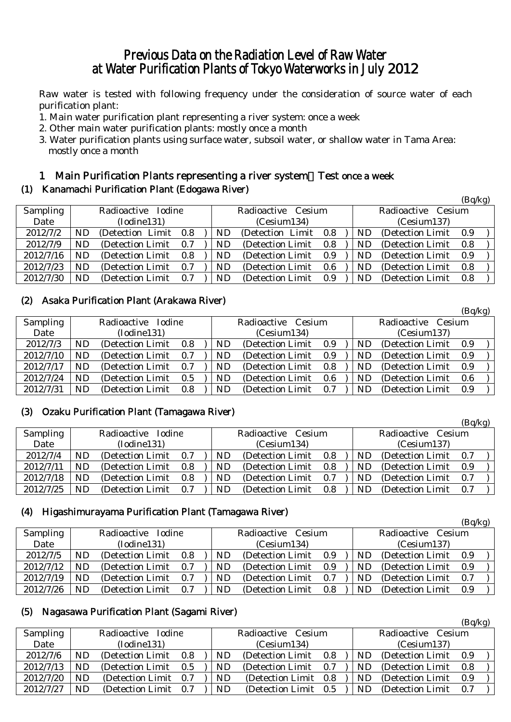# Previous Data on the Radiation Level of Raw Water at Water Purification Plants of Tokyo Waterworks in July 2012

Raw water is tested with following frequency under the consideration of source water of each purification plant:

- 1. Main water purification plant representing a river system: once a week
- 2. Other main water purification plants: mostly once a month
- 3. Water purification plants using surface water, subsoil water, or shallow water in Tama Area: mostly once a month

## 1 Main Purification Plants representing a river system:Test once a week

#### (1) Kanamachi Purification Plant (Edogawa River)

|           |                    |                       |     |  |                    |                       |     |                    |     |                   | (Bq/kg) |  |
|-----------|--------------------|-----------------------|-----|--|--------------------|-----------------------|-----|--------------------|-----|-------------------|---------|--|
| Sampling  | Radioactive Iodine |                       |     |  | Radioactive Cesium |                       |     | Radioactive Cesium |     |                   |         |  |
| Date      |                    | (Iodine131)           |     |  | (Cesium134)        |                       |     | (Cesium137)        |     |                   |         |  |
| 2012/7/2  | ND                 | (Detection Limit 0.8) |     |  | ND                 | (Detection Limit 0.8) |     |                    | ND. | (Detection Limit) | - 0.9   |  |
| 2012/7/9  | ND.                | (Detection Limit)     | 0.7 |  | ND                 | (Detection Limit)     | 0.8 |                    | ND. | (Detection Limit) | 0.8     |  |
| 2012/7/16 | ND                 | (Detection Limit)     | 0.8 |  | ND                 | (Detection Limit 0.9) |     |                    | ND. | (Detection Limit) | 0.9     |  |
| 2012/7/23 | ND.                | (Detection Limit)     | 0.7 |  | ND.                | (Detection Limit)     | 0.6 |                    | ND. | (Detection Limit) | 0.8     |  |
| 2012/7/30 | <b>ND</b>          | (Detection Limit)     | 0.7 |  | ND                 | (Detection Limit)     | 0.9 |                    | ND  | (Detection Limit) | 0.8     |  |

#### (2) Asaka Purification Plant (Arakawa River)

|           |                    |                   |     |  |                    |                   |     |                    |           |                   | $(\mathbf{D}\mathbf{y})$ |  |
|-----------|--------------------|-------------------|-----|--|--------------------|-------------------|-----|--------------------|-----------|-------------------|--------------------------|--|
| Sampling  | Radioactive Iodine |                   |     |  | Radioactive Cesium |                   |     | Radioactive Cesium |           |                   |                          |  |
| Date      | (Iodine131)        |                   |     |  |                    | (Cesium134)       |     |                    |           | (Cesium137)       |                          |  |
| 2012/7/3  | ND                 | (Detection Limit) | 0.8 |  | ND                 | (Detection Limit) | 0.9 |                    | ND        | (Detection Limit) | 0.9                      |  |
| 2012/7/10 | ND                 | (Detection Limit) | 0.7 |  | ND                 | (Detection Limit) | 0.9 |                    | ND        | (Detection Limit) | 0.9                      |  |
| 2012/7/17 | ND                 | (Detection Limit) | 0.7 |  | ND                 | (Detection Limit) | 0.8 |                    | ND        | (Detection Limit) | 0.9                      |  |
| 2012/7/24 | ND                 | (Detection Limit) | 0.5 |  | ND                 | (Detection Limit) | 0.6 |                    | ND.       | (Detection Limit) | 0.6                      |  |
| 2012/7/31 | ND                 | (Detection Limit) | 0.8 |  | ND                 | (Detection Limit) | 0.7 |                    | <b>ND</b> | (Detection Limit) | 0.9                      |  |

 $(D_{\alpha}/k_{\alpha})$ 

 $(D_{\alpha}/k_{\alpha})$ 

 $(R_0/k_0)$ 

#### (3) Ozaku Purification Plant (Tamagawa River)

|                 |                              |                   |     |  |                    |                   |     |                    |    |                   | (Dq/hg) |  |
|-----------------|------------------------------|-------------------|-----|--|--------------------|-------------------|-----|--------------------|----|-------------------|---------|--|
| <b>Sampling</b> | <b>Iodine</b><br>Radioactive |                   |     |  | Radioactive Cesium |                   |     | Radioactive Cesium |    |                   |         |  |
| Date            |                              | (Iodine131)       |     |  | (Cesium134)        |                   |     | (Cesium137)        |    |                   |         |  |
| 2012/7/4        | ND                           | (Detection Limit) | 0.7 |  | ND                 | (Detection Limit) | 0.8 |                    | ND | (Detection Limit) | 0.7     |  |
| 2012/7/11       | ND                           | (Detection Limit) | 0.8 |  | ND                 | (Detection Limit) | 0.8 |                    | ND | (Detection Limit) | 0.9     |  |
| 2012/7/18       | ND                           | (Detection Limit  | 0.8 |  | ND                 | (Detection Limit) | 0.7 |                    | ND | (Detection Limit) | 0.7     |  |
| 2012/7/25       | ND                           | (Detection Limit) | 0.7 |  | ND                 | (Detection Limit) | 0.8 |                    | ND | (Detection Limit) | 0.7     |  |

#### (4) Higashimurayama Purification Plant (Tamagawa River)

|           |                    |                   |     |  |                    |                   |     |                    |           |                   | (Bq/kg) |  |
|-----------|--------------------|-------------------|-----|--|--------------------|-------------------|-----|--------------------|-----------|-------------------|---------|--|
| Sampling  | Radioactive Iodine |                   |     |  | Radioactive Cesium |                   |     | Radioactive Cesium |           |                   |         |  |
| Date      |                    | (Iodine131)       |     |  | (Cesium134)        |                   |     | (Cesium137)        |           |                   |         |  |
| 2012/7/5  | <b>ND</b>          | (Detection Limit) | 0.8 |  | ND.                | (Detection Limit) | 0.9 |                    | <b>ND</b> | (Detection Limit) | 0.9     |  |
| 2012/7/12 | <b>ND</b>          | (Detection Limit) | 0.7 |  | ND.                | (Detection Limit) | 0.9 |                    | ND.       | (Detection Limit) | 0.9     |  |
| 2012/7/19 | <b>ND</b>          | (Detection Limit) | 0.7 |  | ND.                | (Detection Limit) | 0.7 |                    | <b>ND</b> | (Detection Limit) | 0.7     |  |
| 2012/7/26 | ND                 | (Detection Limit) | 0.7 |  | ND                 | (Detection Limit) | 0.8 |                    | <b>ND</b> | (Detection Limit) | 0.9     |  |

#### (5) Nagasawa Purification Plant (Sagami River)

|           |                              |                   |     |                       |             |                       |                       |             |                   | (24.15) |  |
|-----------|------------------------------|-------------------|-----|-----------------------|-------------|-----------------------|-----------------------|-------------|-------------------|---------|--|
| Sampling  | Radioactive<br><b>Iodine</b> |                   |     | Radioactive<br>Cesium |             |                       | Radioactive<br>Cesium |             |                   |         |  |
| Date      |                              | (Iodine131)       |     |                       | (Cesium134) |                       |                       | (Cesium137) |                   |         |  |
| 2012/7/6  | ND                           | (Detection Limit) | 0.8 |                       | ND          | (Detection Limit)     | 0.8                   | ND          | (Detection Limit) | 0.9     |  |
| 2012/7/13 | ND                           | (Detection Limit) | 0.5 |                       | ND          | (Detection Limit)     | 0.7                   | ND          | (Detection Limit) | 0.8     |  |
| 2012/7/20 | ND                           | (Detection Limit) | 0.7 |                       | ND          | (Detection Limit 0.8) |                       | ND.         | (Detection Limit) | 0.9     |  |
| 2012/7/27 | ND                           | (Detection Limit) | 0.7 |                       | <b>ND</b>   | (Detection Limit 0.5) |                       | ND          | (Detection Limit) | 0.7     |  |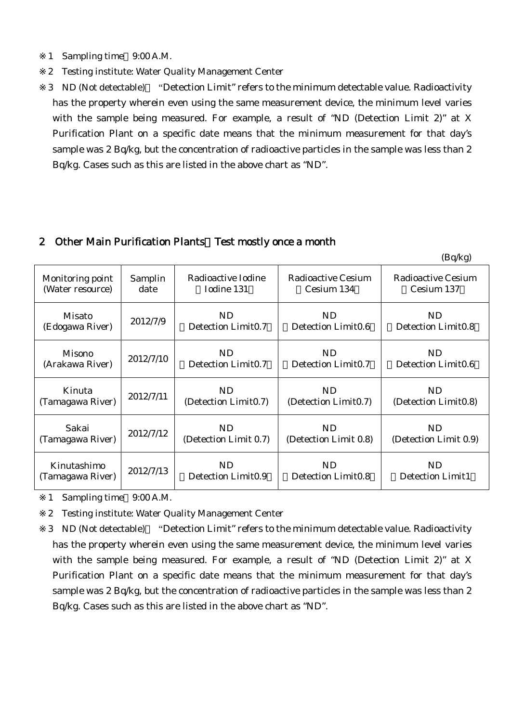1 Sampling time 9:00 A.M.

Monitoring point (Water resource)

Misato

 $(Edogawa River)$   $2012/7/9$ 

- 2 Testing institute: Water Quality Management Center
- 3 ND (Not detectable) "Detection Limit" refers to the minimum detectable value. Radioactivity has the property wherein even using the same measurement device, the minimum level varies with the sample being measured. For example, a result of "ND (Detection Limit 2)" at X Purification Plant on a specific date means that the minimum measurement for that day's sample was 2 Bq/kg, but the concentration of radioactive particles in the sample was less than 2 Bq/kg. Cases such as this are listed in the above chart as "ND".

#### 2 Other Main Purification Plants Test mostly once a month

Samplin date

| Radioactive Iodine  | Radioactive Cesium   | Radioactive Cesium   |
|---------------------|----------------------|----------------------|
| Iodine 131          | Cesium 134           | Cesium 137           |
| ND                  | ND.                  | ND                   |
| Detection Limit0.7  | Detection Limit0.6   | Detection Limit0.8   |
| ND                  | ND.                  | ND                   |
| Detection Limit0.7  | Detection Limit0.7   | Detection Limit0.6   |
| ND                  | ND.                  | ND                   |
| Detection Limit0.7) | (Detection Limit0.7) | (Detection Limit0.8) |

 $(Bq/kg)$ 

| Misono           | 2012/7/10 | ND                             | ND.                            | ND.                   |
|------------------|-----------|--------------------------------|--------------------------------|-----------------------|
| (Arakawa River)  |           | Detection Limit0.7             | Detection Limit0.7             | Detection Limit0.6    |
| Kinuta           | 2012/7/11 | ND.                            | ND.                            | ND.                   |
| (Tamagawa River) |           | (Detection Limit0.7)           | (Detection Limit0.7)           | (Detection Limit0.8)  |
| Sakai            | 2012/7/12 | ND.                            | ND                             | ND.                   |
| (Tamagawa River) |           | (Detection Limit 0.7)          | (Detection Limit 0.8)          | (Detection Limit 0.9) |
| Kinutashimo      | 2012/7/13 | ND                             | <b>ND</b>                      | ND.                   |
| (Tamagawa River) |           | Detection Limit <sub>0.9</sub> | Detection Limit <sub>0.8</sub> | Detection Limit1      |

1 Sampling time 9:00 A.M.

2 Testing institute: Water Quality Management Center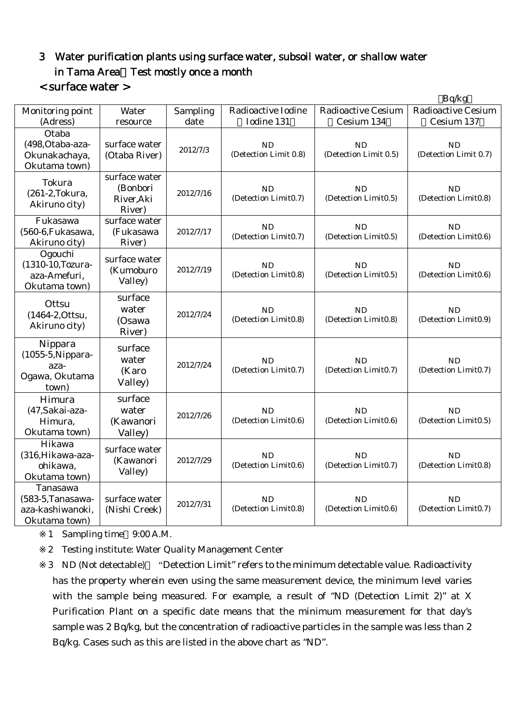# 3 Water purification plants using surface water, subsoil water, or shallow water in Tama Area Test mostly once a month < surface water >

|                                                                    |                                                   |           |                                    |                                    | Bq/kg                              |
|--------------------------------------------------------------------|---------------------------------------------------|-----------|------------------------------------|------------------------------------|------------------------------------|
| Monitoring point                                                   | Water                                             | Sampling  | Radioactive Iodine                 | <b>Radioactive Cesium</b>          | <b>Radioactive Cesium</b>          |
| (Adress)                                                           | resource                                          | date      | Iodine 131                         | Cesium 134                         | Cesium 137                         |
| Otaba<br>(498, Otaba-aza-<br>Okunakachaya,<br>Okutama town)        | surface water<br>(Otaba River)                    | 2012/7/3  | <b>ND</b><br>(Detection Limit 0.8) | <b>ND</b><br>(Detection Limit 0.5) | <b>ND</b><br>(Detection Limit 0.7) |
| Tokura<br>(261-2, Tokura,<br>Akiruno city)                         | surface water<br>(Bonbori<br>River, Aki<br>River) | 2012/7/16 | <b>ND</b><br>(Detection Limit0.7)  | <b>ND</b><br>(Detection Limit0.5)  | <b>ND</b><br>(Detection Limit0.8)  |
| Fukasawa<br>(560-6, Fukasawa,<br>Akiruno city)                     | surface water<br>(Fukasawa<br>River)              | 2012/7/17 | <b>ND</b><br>(Detection Limit0.7)  | <b>ND</b><br>(Detection Limit0.5)  | <b>ND</b><br>(Detection Limit0.6)  |
| Ogouchi<br>(1310-10, Tozura-<br>aza-Amefuri,<br>Okutama town)      | surface water<br>(Kumoburo<br>Valley)             | 2012/7/19 | <b>ND</b><br>(Detection Limit0.8)  | <b>ND</b><br>(Detection Limit0.5)  | ND<br>(Detection Limit0.6)         |
| Ottsu<br>(1464-2, Ottsu,<br>Akiruno city)                          | surface<br>water<br>(Osawa<br>River)              | 2012/7/24 | <b>ND</b><br>(Detection Limit0.8)  | ND<br>(Detection Limit0.8)         | ND<br>(Detection Limit0.9)         |
| Nippara<br>(1055-5, Nippara-<br>aza-<br>Ogawa, Okutama<br>town)    | surface<br>water<br>(Karo<br>Valley)              | 2012/7/24 | <b>ND</b><br>(Detection Limit0.7)  | ND<br>(Detection Limit0.7)         | <b>ND</b><br>(Detection Limit0.7)  |
| Himura<br>(47, Sakai-aza-<br>Himura,<br>Okutama town)              | surface<br>water<br>(Kawanori<br>Valley)          | 2012/7/26 | <b>ND</b><br>(Detection Limit0.6)  | ND<br>(Detection Limit0.6)         | <b>ND</b><br>(Detection Limit0.5)  |
| Hikawa<br>(316, Hikawa-aza-<br>ohikawa,<br>Okutama town)           | surface water<br>(Kawanori<br>Valley)             | 2012/7/29 | <b>ND</b><br>(Detection Limit0.6)  | <b>ND</b><br>(Detection Limit0.7)  | <b>ND</b><br>(Detection Limit0.8)  |
| Tanasawa<br>(583-5, Tanasawa-<br>aza-kashiwanoki,<br>Okutama town) | surface water<br>(Nishi Creek)                    | 2012/7/31 | <b>ND</b><br>(Detection Limit0.8)  | <b>ND</b><br>(Detection Limit0.6)  | <b>ND</b><br>(Detection Limit0.7)  |

1 Sampling time 9:00 A.M.

2 Testing institute: Water Quality Management Center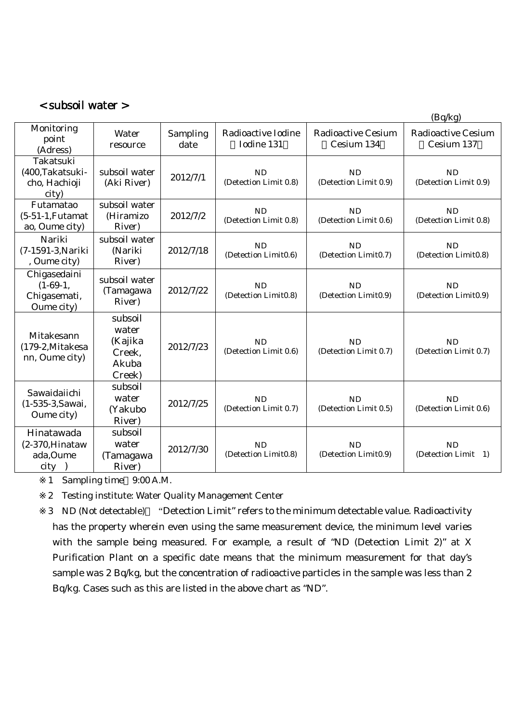## < subsoil water >

|                                                          |                                                          |                  |                                    |                                         | (Bq/kg)                                 |
|----------------------------------------------------------|----------------------------------------------------------|------------------|------------------------------------|-----------------------------------------|-----------------------------------------|
| Monitoring<br>point<br>(Adress)                          | Water<br>resource                                        | Sampling<br>date | Radioactive Iodine<br>Iodine 131   | <b>Radioactive Cesium</b><br>Cesium 134 | <b>Radioactive Cesium</b><br>Cesium 137 |
| Takatsuki<br>(400, Takatsuki-<br>cho, Hachioji<br>city)  | subsoil water<br>(Aki River)                             | 2012/7/1         | <b>ND</b><br>(Detection Limit 0.8) | <b>ND</b><br>(Detection Limit 0.9)      | <b>ND</b><br>(Detection Limit 0.9)      |
| Futamatao<br>$(5-51-1,$ Futamat<br>ao, Oume city)        | subsoil water<br>(Hiramizo<br>River)                     | 2012/7/2         | ND<br>(Detection Limit 0.8)        | <b>ND</b><br>(Detection Limit 0.6)      | <b>ND</b><br>(Detection Limit 0.8)      |
| Nariki<br>(7-1591-3, Nariki<br>, Oume city)              | subsoil water<br>(Nariki<br>River)                       | 2012/7/18        | ND<br>(Detection Limit0.6)         | <b>ND</b><br>(Detection Limit0.7)       | <b>ND</b><br>(Detection Limit0.8)       |
| Chigasedaini<br>$(1-69-1,$<br>Chigasemati,<br>Oume city) | subsoil water<br>(Tamagawa<br>River)                     | 2012/7/22        | <b>ND</b><br>(Detection Limit0.8)  | <b>ND</b><br>(Detection Limit0.9)       | <b>ND</b><br>(Detection Limit0.9)       |
| Mitakesann<br>(179-2, Mitakesa<br>nn, Oume city)         | subsoil<br>water<br>(Kajika<br>Creek,<br>Akuba<br>Creek) | 2012/7/23        | ND<br>(Detection Limit 0.6)        | <b>ND</b><br>(Detection Limit 0.7)      | <b>ND</b><br>(Detection Limit 0.7)      |
| Sawaidaiichi<br>(1-535-3, Sawai,<br>Oume city)           | subsoil<br>water<br>(Yakubo<br>River)                    | 2012/7/25        | <b>ND</b><br>(Detection Limit 0.7) | <b>ND</b><br>(Detection Limit 0.5)      | <b>ND</b><br>(Detection Limit 0.6)      |
| Hinatawada<br>$(2-370)$ , Hinataw<br>ada, Oume<br>city   | subsoil<br>water<br>(Tamagawa<br>River)                  | 2012/7/30        | <b>ND</b><br>(Detection Limit0.8)  | <b>ND</b><br>(Detection Limit0.9)       | <b>ND</b><br>(Detection Limit 1)        |

1 Sampling time 9:00 A.M.

2 Testing institute: Water Quality Management Center